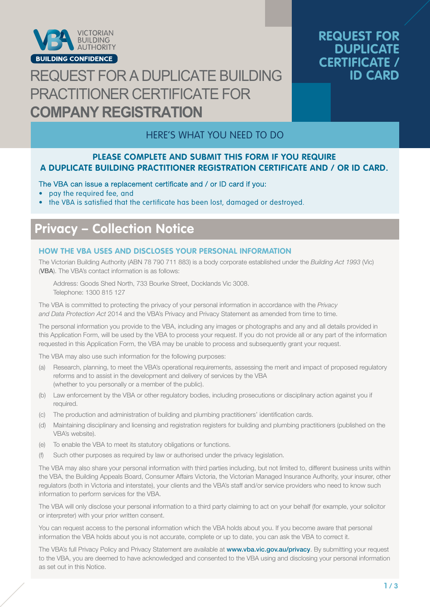

# REQUEST FOR A DUPLICATE BUILDING PRACTITIONER CERTIFICATE FOR **COMPANY REGISTRATION**

## **REQUEST FOR DUPLICATE CERTIFICATE / ID CARD**

## HERE'S WHAT YOU NEED TO DO

#### **PLEASE COMPLETE AND SUBMIT THIS FORM IF YOU REQUIRE A DUPLICATE BUILDING PRACTITIONER REGISTRATION CERTIFICATE AND / OR ID CARD.**

#### The VBA can issue a replacement certificate and / or ID card if you:

- pay the required fee, and
- the VBA is satisfied that the certificate has been lost, damaged or destroyed.

## **Privacy – Collection Notice**

#### **HOW THE VBA USES AND DISCLOSES YOUR PERSONAL INFORMATION**

The Victorian Building Authority (ABN 78 790 711 883) is a body corporate established under the *Building Act 1993* (Vic) (VBA). The VBA's contact information is as follows:

Address: Goods Shed North, 733 Bourke Street, Docklands Vic 3008. Telephone: 1300 815 127

The VBA is committed to protecting the privacy of your personal information in accordance with the *Privacy and Data Protection Act* 2014 and the VBA's Privacy and Privacy Statement as amended from time to time.

The personal information you provide to the VBA, including any images or photographs and any and all details provided in this Application Form, will be used by the VBA to process your request. If you do not provide all or any part of the information requested in this Application Form, the VBA may be unable to process and subsequently grant your request.

The VBA may also use such information for the following purposes:

- (a) Research, planning, to meet the VBA's operational requirements, assessing the merit and impact of proposed regulatory reforms and to assist in the development and delivery of services by the VBA (whether to you personally or a member of the public).
- (b) Law enforcement by the VBA or other regulatory bodies, including prosecutions or disciplinary action against you if required.
- (c) The production and administration of building and plumbing practitioners' identification cards.
- (d) Maintaining disciplinary and licensing and registration registers for building and plumbing practitioners (published on the VBA's website).
- (e) To enable the VBA to meet its statutory obligations or functions.
- (f) Such other purposes as required by law or authorised under the privacy legislation.

The VBA may also share your personal information with third parties including, but not limited to, different business units within the VBA, the Building Appeals Board, Consumer Affairs Victoria, the Victorian Managed Insurance Authority, your insurer, other regulators (both in Victoria and interstate), your clients and the VBA's staff and/or service providers who need to know such information to perform services for the VBA.

The VBA will only disclose your personal information to a third party claiming to act on your behalf (for example, your solicitor or interpreter) with your prior written consent.

You can request access to the personal information which the VBA holds about you. If you become aware that personal information the VBA holds about you is not accurate, complete or up to date, you can ask the VBA to correct it.

The VBA's full Privacy Policy and Privacy Statement are available at www.vba.vic.gov.au/privacy. By submitting your request to the VBA, you are deemed to have acknowledged and consented to the VBA using and disclosing your personal information as set out in this Notice.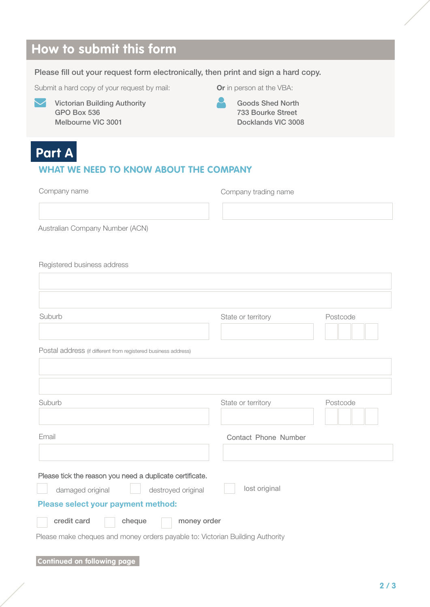# **How to submit this form**

#### Please fill out your request form electronically, then print and sign a hard copy.

Submit a hard copy of your request by mail:



GPO Box 536 Victorian Building Authority Melbourne VIC 3001

Or in person at the VBA:

 Goods Shed North 733 Bourke Street Docklands VIC 3008

## **Part A**

### **WHAT WE NEED TO KNOW ABOUT THE COMPANY**

| Company name                                                                  | Company trading name |          |  |  |  |  |  |  |
|-------------------------------------------------------------------------------|----------------------|----------|--|--|--|--|--|--|
|                                                                               |                      |          |  |  |  |  |  |  |
| Australian Company Number (ACN)                                               |                      |          |  |  |  |  |  |  |
|                                                                               |                      |          |  |  |  |  |  |  |
| Registered business address                                                   |                      |          |  |  |  |  |  |  |
|                                                                               |                      |          |  |  |  |  |  |  |
|                                                                               |                      |          |  |  |  |  |  |  |
| Suburb                                                                        | State or territory   | Postcode |  |  |  |  |  |  |
|                                                                               |                      |          |  |  |  |  |  |  |
| Postal address (if different from registered business address)                |                      |          |  |  |  |  |  |  |
|                                                                               |                      |          |  |  |  |  |  |  |
|                                                                               |                      |          |  |  |  |  |  |  |
| Suburb                                                                        | State or territory   | Postcode |  |  |  |  |  |  |
|                                                                               |                      |          |  |  |  |  |  |  |
| Email                                                                         | Contact Phone Number |          |  |  |  |  |  |  |
|                                                                               |                      |          |  |  |  |  |  |  |
| Please tick the reason you need a duplicate certificate.                      |                      |          |  |  |  |  |  |  |
| damaged original<br>destroyed original                                        | lost original        |          |  |  |  |  |  |  |
| Please select your payment method:                                            |                      |          |  |  |  |  |  |  |
| credit card<br>cheque<br>money order                                          |                      |          |  |  |  |  |  |  |
| Please make cheques and money orders payable to: Victorian Building Authority |                      |          |  |  |  |  |  |  |